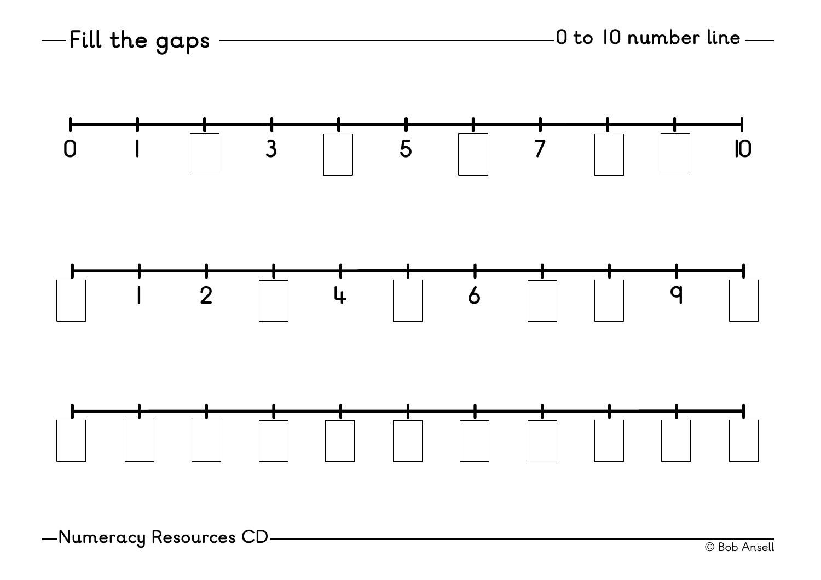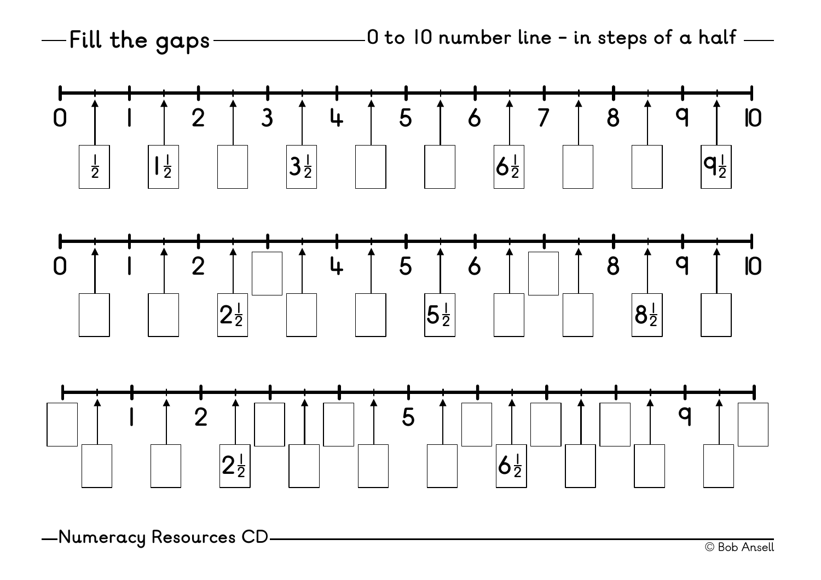**to 10 number line - in steps of a half Fill the gaps**





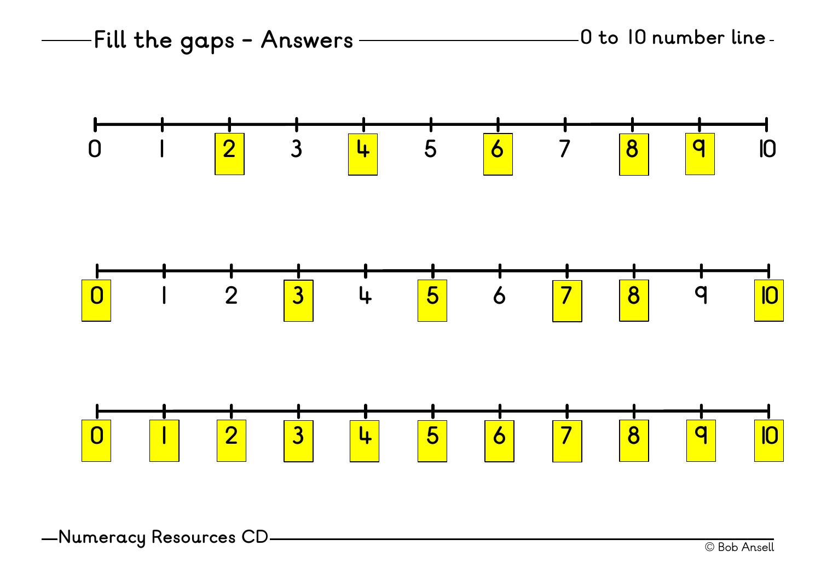